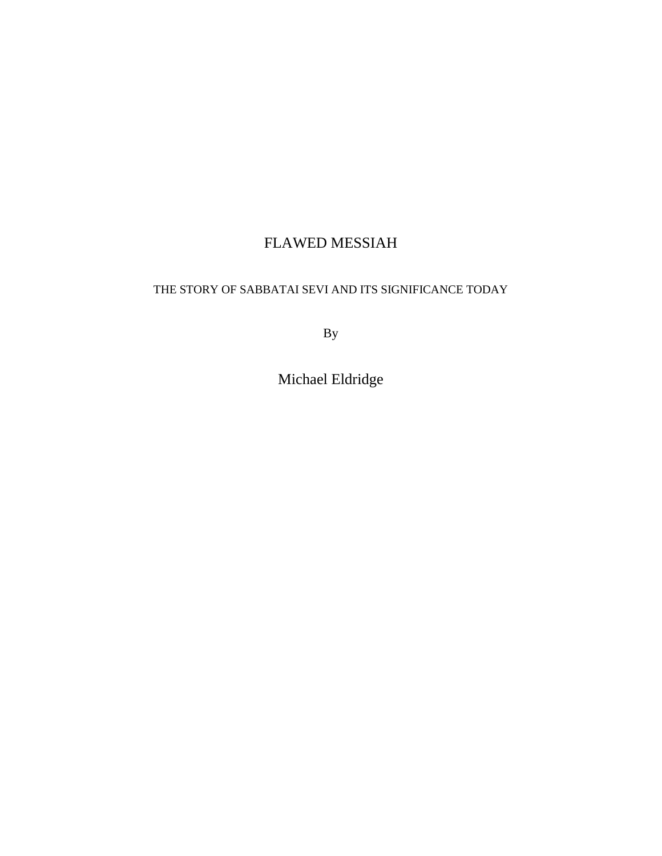# FLAWED MESSIAH

## THE STORY OF SABBATAI SEVI AND ITS SIGNIFICANCE TODAY

By

Michael Eldridge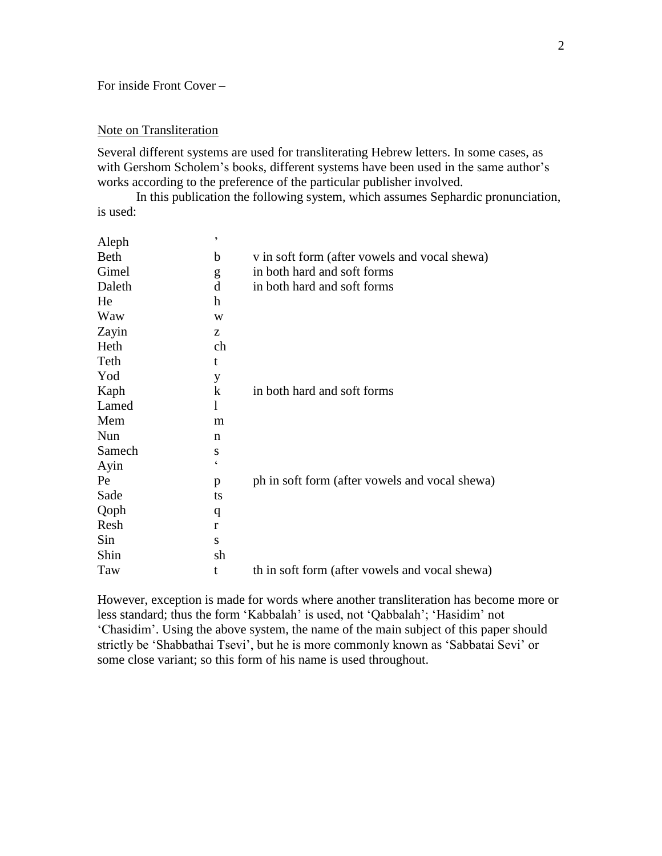## For inside Front Cover –

### Note on Transliteration

Several different systems are used for transliterating Hebrew letters. In some cases, as with Gershom Scholem's books, different systems have been used in the same author's works according to the preference of the particular publisher involved.

In this publication the following system, which assumes Sephardic pronunciation, is used:

| Aleph       | $\overline{ }$ |                                                |
|-------------|----------------|------------------------------------------------|
| <b>Beth</b> | b              | v in soft form (after vowels and vocal shewa)  |
| Gimel       | g              | in both hard and soft forms                    |
| Daleth      | d              | in both hard and soft forms                    |
| He          | h              |                                                |
| Waw         | W              |                                                |
| Zayin       | Z              |                                                |
| Heth        | ch             |                                                |
| Teth        | t              |                                                |
| Yod         | y              |                                                |
| Kaph        | $\bf k$        | in both hard and soft forms                    |
| Lamed       | l              |                                                |
| Mem         | m              |                                                |
| Nun         | n              |                                                |
| Samech      | S              |                                                |
| Ayin        | $\epsilon$     |                                                |
| Pe          | p              | ph in soft form (after vowels and vocal shewa) |
| Sade        | ts             |                                                |
| Qoph        | q              |                                                |
| Resh        | r              |                                                |
| Sin         | S              |                                                |
| Shin        | sh             |                                                |
| Taw         | t              | th in soft form (after vowels and vocal shewa) |

However, exception is made for words where another transliteration has become more or less standard; thus the form 'Kabbalah' is used, not 'Qabbalah'; 'Hasidim' not 'Chasidim'. Using the above system, the name of the main subject of this paper should strictly be 'Shabbathai Tsevi', but he is more commonly known as 'Sabbatai Sevi' or some close variant; so this form of his name is used throughout.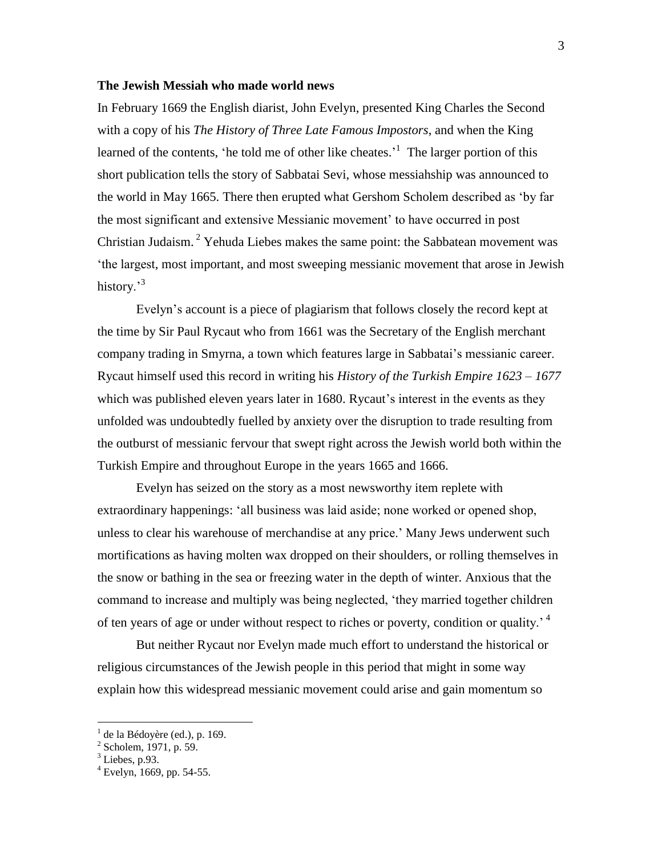#### **The Jewish Messiah who made world news**

In February 1669 the English diarist, John Evelyn, presented King Charles the Second with a copy of his *The History of Three Late Famous Impostors*, and when the King learned of the contents, 'he told me of other like cheates.'<sup>1</sup> The larger portion of this short publication tells the story of Sabbatai Sevi, whose messiahship was announced to the world in May 1665. There then erupted what Gershom Scholem described as 'by far the most significant and extensive Messianic movement' to have occurred in post Christian Judaism.<sup>2</sup> Yehuda Liebes makes the same point: the Sabbatean movement was 'the largest, most important, and most sweeping messianic movement that arose in Jewish history.<sup>3</sup>

Evelyn's account is a piece of plagiarism that follows closely the record kept at the time by Sir Paul Rycaut who from 1661 was the Secretary of the English merchant company trading in Smyrna, a town which features large in Sabbatai's messianic career. Rycaut himself used this record in writing his *History of the Turkish Empire 1623 – 1677*  which was published eleven years later in 1680. Rycaut's interest in the events as they unfolded was undoubtedly fuelled by anxiety over the disruption to trade resulting from the outburst of messianic fervour that swept right across the Jewish world both within the Turkish Empire and throughout Europe in the years 1665 and 1666.

Evelyn has seized on the story as a most newsworthy item replete with extraordinary happenings: 'all business was laid aside; none worked or opened shop, unless to clear his warehouse of merchandise at any price.' Many Jews underwent such mortifications as having molten wax dropped on their shoulders, or rolling themselves in the snow or bathing in the sea or freezing water in the depth of winter. Anxious that the command to increase and multiply was being neglected, 'they married together children of ten years of age or under without respect to riches or poverty, condition or quality.<sup>4</sup>

But neither Rycaut nor Evelyn made much effort to understand the historical or religious circumstances of the Jewish people in this period that might in some way explain how this widespread messianic movement could arise and gain momentum so

<sup>&</sup>lt;sup>1</sup> de la Bédoyère (ed.), p. 169.<br><sup>2</sup> Scholem, 1971, p. 59.

 $3$  Liebes, p.93.

 $^{4}$  Evelyn, 1669, pp. 54-55.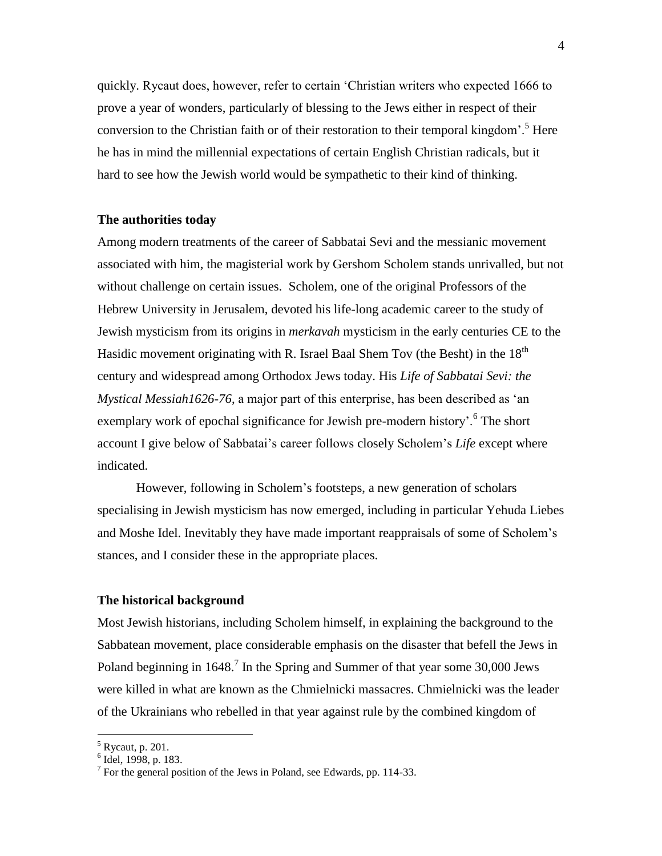quickly. Rycaut does, however, refer to certain 'Christian writers who expected 1666 to prove a year of wonders, particularly of blessing to the Jews either in respect of their conversion to the Christian faith or of their restoration to their temporal kingdom<sup>5</sup>. Here he has in mind the millennial expectations of certain English Christian radicals, but it hard to see how the Jewish world would be sympathetic to their kind of thinking.

#### **The authorities today**

Among modern treatments of the career of Sabbatai Sevi and the messianic movement associated with him, the magisterial work by Gershom Scholem stands unrivalled, but not without challenge on certain issues. Scholem, one of the original Professors of the Hebrew University in Jerusalem, devoted his life-long academic career to the study of Jewish mysticism from its origins in *merkavah* mysticism in the early centuries CE to the Hasidic movement originating with R. Israel Baal Shem Tov (the Besht) in the  $18<sup>th</sup>$ century and widespread among Orthodox Jews today. His *Life of Sabbatai Sevi: the Mystical Messiah1626-76*, a major part of this enterprise, has been described as 'an exemplary work of epochal significance for Jewish pre-modern history'.<sup>6</sup> The short account I give below of Sabbatai's career follows closely Scholem's *Life* except where indicated.

However, following in Scholem's footsteps, a new generation of scholars specialising in Jewish mysticism has now emerged, including in particular Yehuda Liebes and Moshe Idel. Inevitably they have made important reappraisals of some of Scholem's stances, and I consider these in the appropriate places.

#### **The historical background**

Most Jewish historians, including Scholem himself, in explaining the background to the Sabbatean movement, place considerable emphasis on the disaster that befell the Jews in Poland beginning in 1648.<sup>7</sup> In the Spring and Summer of that year some 30,000 Jews were killed in what are known as the Chmielnicki massacres. Chmielnicki was the leader of the Ukrainians who rebelled in that year against rule by the combined kingdom of

<sup>&</sup>lt;sup>5</sup> Rycaut, p. 201.<br><sup>6</sup> Idel, 1998, p. 183.

 $^7$  For the general position of the Jews in Poland, see Edwards, pp. 114-33.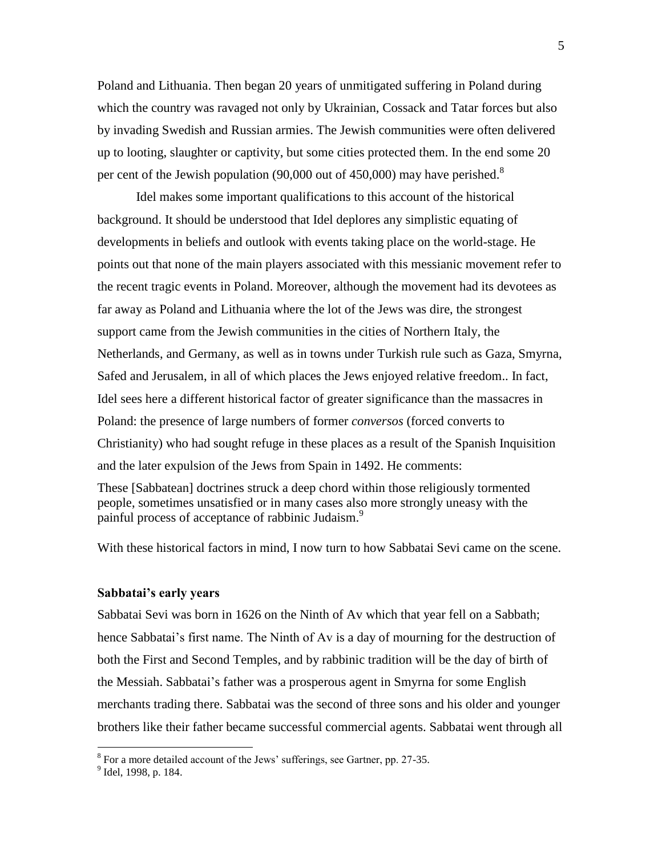Poland and Lithuania. Then began 20 years of unmitigated suffering in Poland during which the country was ravaged not only by Ukrainian, Cossack and Tatar forces but also by invading Swedish and Russian armies. The Jewish communities were often delivered up to looting, slaughter or captivity, but some cities protected them. In the end some 20 per cent of the Jewish population (90,000 out of 450,000) may have perished.<sup>8</sup>

Idel makes some important qualifications to this account of the historical background. It should be understood that Idel deplores any simplistic equating of developments in beliefs and outlook with events taking place on the world-stage. He points out that none of the main players associated with this messianic movement refer to the recent tragic events in Poland. Moreover, although the movement had its devotees as far away as Poland and Lithuania where the lot of the Jews was dire, the strongest support came from the Jewish communities in the cities of Northern Italy, the Netherlands, and Germany, as well as in towns under Turkish rule such as Gaza, Smyrna, Safed and Jerusalem, in all of which places the Jews enjoyed relative freedom.. In fact, Idel sees here a different historical factor of greater significance than the massacres in Poland: the presence of large numbers of former *conversos* (forced converts to Christianity) who had sought refuge in these places as a result of the Spanish Inquisition and the later expulsion of the Jews from Spain in 1492. He comments:

These [Sabbatean] doctrines struck a deep chord within those religiously tormented people, sometimes unsatisfied or in many cases also more strongly uneasy with the painful process of acceptance of rabbinic Judaism.<sup>9</sup>

With these historical factors in mind, I now turn to how Sabbatai Sevi came on the scene.

#### **Sabbatai's early years**

Sabbatai Sevi was born in 1626 on the Ninth of Av which that year fell on a Sabbath; hence Sabbatai's first name. The Ninth of Av is a day of mourning for the destruction of both the First and Second Temples, and by rabbinic tradition will be the day of birth of the Messiah. Sabbatai's father was a prosperous agent in Smyrna for some English merchants trading there. Sabbatai was the second of three sons and his older and younger brothers like their father became successful commercial agents. Sabbatai went through all

<sup>&</sup>lt;sup>8</sup> For a more detailed account of the Jews' sufferings, see Gartner, pp. 27-35.

<sup>&</sup>lt;sup>9</sup> Idel, 1998, p. 184.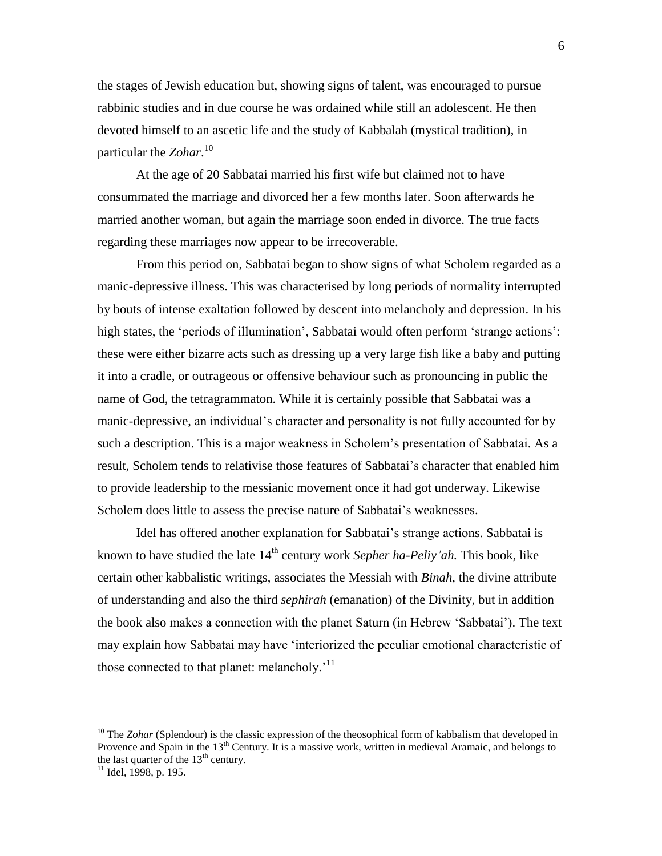the stages of Jewish education but, showing signs of talent, was encouraged to pursue rabbinic studies and in due course he was ordained while still an adolescent. He then devoted himself to an ascetic life and the study of Kabbalah (mystical tradition), in particular the *Zohar*. 10

At the age of 20 Sabbatai married his first wife but claimed not to have consummated the marriage and divorced her a few months later. Soon afterwards he married another woman, but again the marriage soon ended in divorce. The true facts regarding these marriages now appear to be irrecoverable.

From this period on, Sabbatai began to show signs of what Scholem regarded as a manic-depressive illness. This was characterised by long periods of normality interrupted by bouts of intense exaltation followed by descent into melancholy and depression. In his high states, the 'periods of illumination', Sabbatai would often perform 'strange actions': these were either bizarre acts such as dressing up a very large fish like a baby and putting it into a cradle, or outrageous or offensive behaviour such as pronouncing in public the name of God, the tetragrammaton. While it is certainly possible that Sabbatai was a manic-depressive, an individual's character and personality is not fully accounted for by such a description. This is a major weakness in Scholem's presentation of Sabbatai. As a result, Scholem tends to relativise those features of Sabbatai's character that enabled him to provide leadership to the messianic movement once it had got underway. Likewise Scholem does little to assess the precise nature of Sabbatai's weaknesses.

Idel has offered another explanation for Sabbatai's strange actions. Sabbatai is known to have studied the late 14th century work *Sepher ha-Peliy'ah.* This book, like certain other kabbalistic writings, associates the Messiah with *Binah*, the divine attribute of understanding and also the third *sephirah* (emanation) of the Divinity, but in addition the book also makes a connection with the planet Saturn (in Hebrew 'Sabbatai'). The text may explain how Sabbatai may have 'interiorized the peculiar emotional characteristic of those connected to that planet: melancholy.<sup> $11$ </sup>

<sup>&</sup>lt;sup>10</sup> The *Zohar* (Splendour) is the classic expression of the theosophical form of kabbalism that developed in Provence and Spain in the  $13<sup>th</sup>$  Century. It is a massive work, written in medieval Aramaic, and belongs to the last quarter of the  $13<sup>th</sup>$  century.

 $11$  Idel, 1998, p. 195.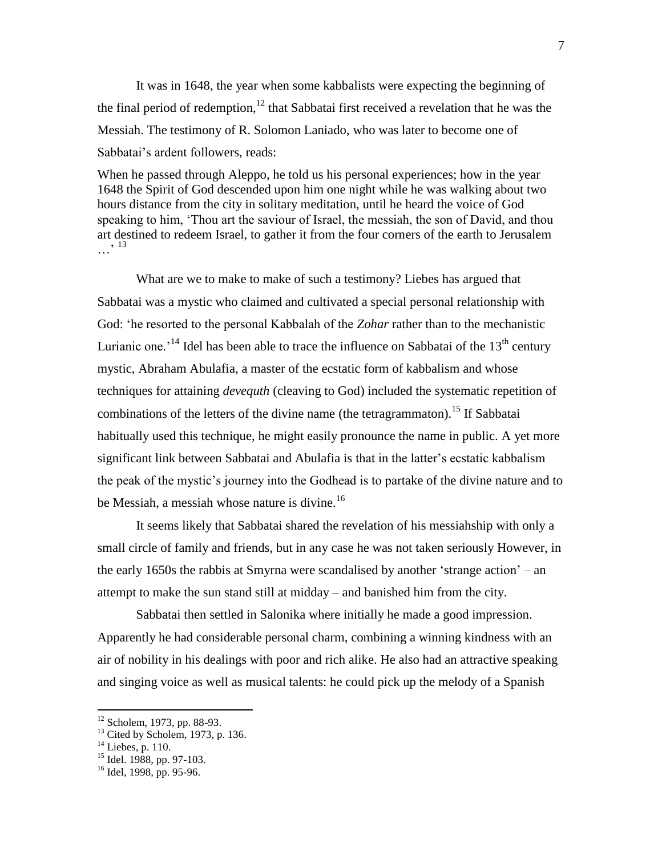It was in 1648, the year when some kabbalists were expecting the beginning of the final period of redemption,<sup>12</sup> that Sabbatai first received a revelation that he was the Messiah. The testimony of R. Solomon Laniado, who was later to become one of Sabbatai's ardent followers, reads:

When he passed through Aleppo, he told us his personal experiences; how in the year 1648 the Spirit of God descended upon him one night while he was walking about two hours distance from the city in solitary meditation, until he heard the voice of God speaking to him, 'Thou art the saviour of Israel, the messiah, the son of David, and thou art destined to redeem Israel, to gather it from the four corners of the earth to Jerusalem …' <sup>13</sup>

What are we to make to make of such a testimony? Liebes has argued that Sabbatai was a mystic who claimed and cultivated a special personal relationship with God: 'he resorted to the personal Kabbalah of the *Zohar* rather than to the mechanistic Lurianic one.<sup>14</sup> Idel has been able to trace the influence on Sabbatai of the  $13<sup>th</sup>$  century mystic, Abraham Abulafia, a master of the ecstatic form of kabbalism and whose techniques for attaining *devequth* (cleaving to God) included the systematic repetition of combinations of the letters of the divine name (the tetragrammaton).<sup>15</sup> If Sabbatai habitually used this technique, he might easily pronounce the name in public. A yet more significant link between Sabbatai and Abulafia is that in the latter's ecstatic kabbalism the peak of the mystic's journey into the Godhead is to partake of the divine nature and to be Messiah, a messiah whose nature is divine.<sup>16</sup>

It seems likely that Sabbatai shared the revelation of his messiahship with only a small circle of family and friends, but in any case he was not taken seriously However, in the early 1650s the rabbis at Smyrna were scandalised by another 'strange action' – an attempt to make the sun stand still at midday – and banished him from the city.

Sabbatai then settled in Salonika where initially he made a good impression. Apparently he had considerable personal charm, combining a winning kindness with an air of nobility in his dealings with poor and rich alike. He also had an attractive speaking and singing voice as well as musical talents: he could pick up the melody of a Spanish

 $12$  Scholem, 1973, pp. 88-93.

 $13$  Cited by Scholem, 1973, p. 136.

 $14$  Liebes, p. 110.

 $15$  Idel. 1988, pp. 97-103.

 $16$  Idel, 1998, pp. 95-96.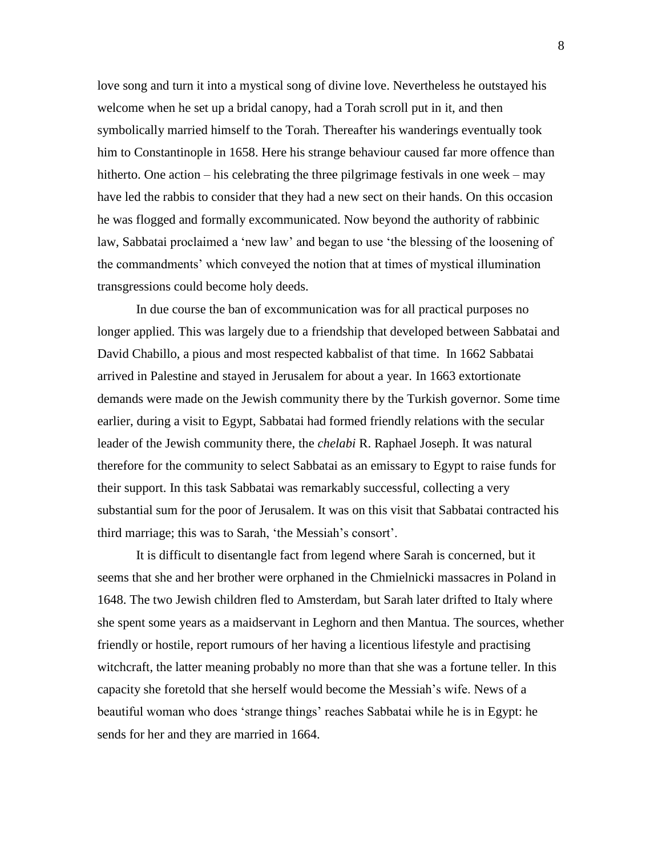love song and turn it into a mystical song of divine love. Nevertheless he outstayed his welcome when he set up a bridal canopy, had a Torah scroll put in it, and then symbolically married himself to the Torah. Thereafter his wanderings eventually took him to Constantinople in 1658. Here his strange behaviour caused far more offence than hitherto. One action – his celebrating the three pilgrimage festivals in one week – may have led the rabbis to consider that they had a new sect on their hands. On this occasion he was flogged and formally excommunicated. Now beyond the authority of rabbinic law, Sabbatai proclaimed a 'new law' and began to use 'the blessing of the loosening of the commandments' which conveyed the notion that at times of mystical illumination transgressions could become holy deeds.

In due course the ban of excommunication was for all practical purposes no longer applied. This was largely due to a friendship that developed between Sabbatai and David Chabillo, a pious and most respected kabbalist of that time. In 1662 Sabbatai arrived in Palestine and stayed in Jerusalem for about a year. In 1663 extortionate demands were made on the Jewish community there by the Turkish governor. Some time earlier, during a visit to Egypt, Sabbatai had formed friendly relations with the secular leader of the Jewish community there, the *chelabi* R. Raphael Joseph. It was natural therefore for the community to select Sabbatai as an emissary to Egypt to raise funds for their support. In this task Sabbatai was remarkably successful, collecting a very substantial sum for the poor of Jerusalem. It was on this visit that Sabbatai contracted his third marriage; this was to Sarah, 'the Messiah's consort'.

It is difficult to disentangle fact from legend where Sarah is concerned, but it seems that she and her brother were orphaned in the Chmielnicki massacres in Poland in 1648. The two Jewish children fled to Amsterdam, but Sarah later drifted to Italy where she spent some years as a maidservant in Leghorn and then Mantua. The sources, whether friendly or hostile, report rumours of her having a licentious lifestyle and practising witchcraft, the latter meaning probably no more than that she was a fortune teller. In this capacity she foretold that she herself would become the Messiah's wife. News of a beautiful woman who does 'strange things' reaches Sabbatai while he is in Egypt: he sends for her and they are married in 1664.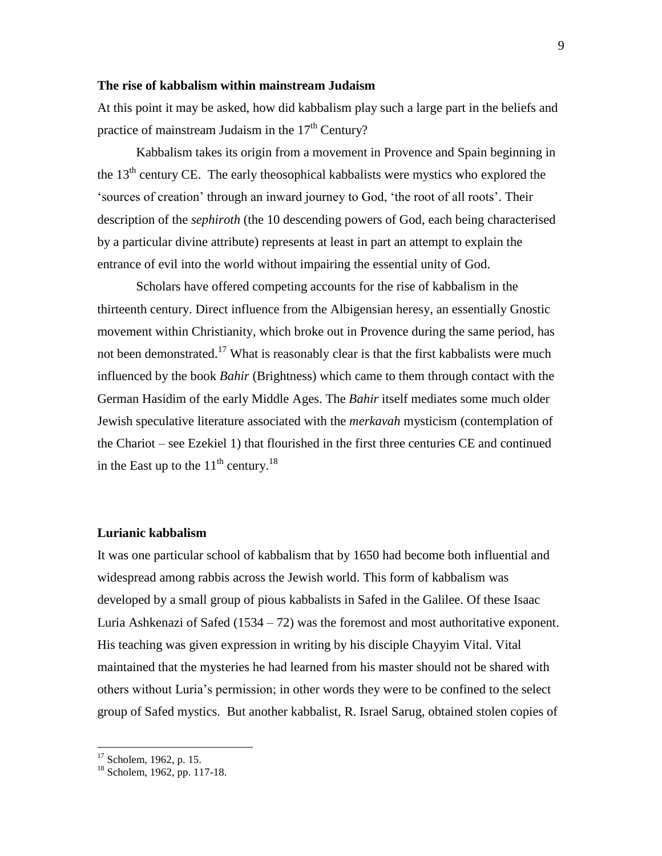#### **The rise of kabbalism within mainstream Judaism**

At this point it may be asked, how did kabbalism play such a large part in the beliefs and practice of mainstream Judaism in the  $17<sup>th</sup>$  Century?

Kabbalism takes its origin from a movement in Provence and Spain beginning in the  $13<sup>th</sup>$  century CE. The early theosophical kabbalists were mystics who explored the 'sources of creation' through an inward journey to God, 'the root of all roots'. Their description of the *sephiroth* (the 10 descending powers of God, each being characterised by a particular divine attribute) represents at least in part an attempt to explain the entrance of evil into the world without impairing the essential unity of God.

Scholars have offered competing accounts for the rise of kabbalism in the thirteenth century. Direct influence from the Albigensian heresy, an essentially Gnostic movement within Christianity, which broke out in Provence during the same period, has not been demonstrated.<sup>17</sup> What is reasonably clear is that the first kabbalists were much influenced by the book *Bahir* (Brightness) which came to them through contact with the German Hasidim of the early Middle Ages. The *Bahir* itself mediates some much older Jewish speculative literature associated with the *merkavah* mysticism (contemplation of the Chariot – see Ezekiel 1) that flourished in the first three centuries CE and continued in the East up to the  $11<sup>th</sup>$  century.<sup>18</sup>

#### **Lurianic kabbalism**

It was one particular school of kabbalism that by 1650 had become both influential and widespread among rabbis across the Jewish world. This form of kabbalism was developed by a small group of pious kabbalists in Safed in the Galilee. Of these Isaac Luria Ashkenazi of Safed (1534 – 72) was the foremost and most authoritative exponent. His teaching was given expression in writing by his disciple Chayyim Vital. Vital maintained that the mysteries he had learned from his master should not be shared with others without Luria's permission; in other words they were to be confined to the select group of Safed mystics. But another kabbalist, R. Israel Sarug, obtained stolen copies of

<sup>&</sup>lt;sup>17</sup> Scholem, 1962, p. 15.

<sup>18</sup> Scholem, 1962, pp. 117-18.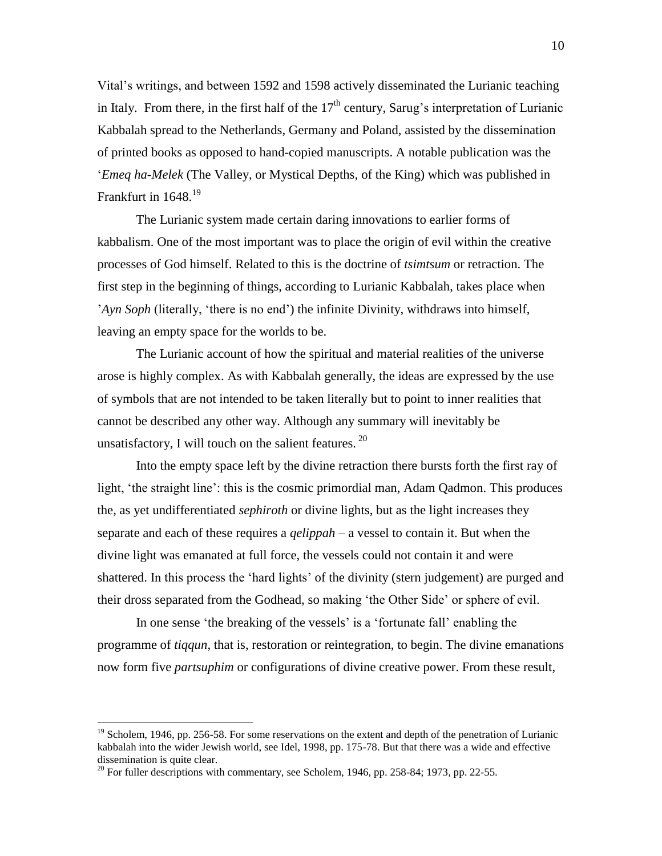Vital's writings, and between 1592 and 1598 actively disseminated the Lurianic teaching in Italy. From there, in the first half of the  $17<sup>th</sup>$  century, Sarug's interpretation of Lurianic Kabbalah spread to the Netherlands, Germany and Poland, assisted by the dissemination of printed books as opposed to hand-copied manuscripts. A notable publication was the '*Emeq ha-Melek* (The Valley, or Mystical Depths, of the King) which was published in Frankfurt in 1648.<sup>19</sup>

The Lurianic system made certain daring innovations to earlier forms of kabbalism. One of the most important was to place the origin of evil within the creative processes of God himself. Related to this is the doctrine of *tsimtsum* or retraction. The first step in the beginning of things, according to Lurianic Kabbalah, takes place when '*Ayn Soph* (literally, 'there is no end') the infinite Divinity, withdraws into himself, leaving an empty space for the worlds to be.

The Lurianic account of how the spiritual and material realities of the universe arose is highly complex. As with Kabbalah generally, the ideas are expressed by the use of symbols that are not intended to be taken literally but to point to inner realities that cannot be described any other way. Although any summary will inevitably be unsatisfactory, I will touch on the salient features.  $^{20}$ 

Into the empty space left by the divine retraction there bursts forth the first ray of light, 'the straight line': this is the cosmic primordial man, Adam Qadmon. This produces the, as yet undifferentiated *sephiroth* or divine lights, but as the light increases they separate and each of these requires a *qelippah* – a vessel to contain it. But when the divine light was emanated at full force, the vessels could not contain it and were shattered. In this process the 'hard lights' of the divinity (stern judgement) are purged and their dross separated from the Godhead, so making 'the Other Side' or sphere of evil.

In one sense 'the breaking of the vessels' is a 'fortunate fall' enabling the programme of *tiqqun*, that is, restoration or reintegration, to begin. The divine emanations now form five *partsuphim* or configurations of divine creative power. From these result,

 $19$  Scholem, 1946, pp. 256-58. For some reservations on the extent and depth of the penetration of Lurianic kabbalah into the wider Jewish world, see Idel, 1998, pp. 175-78. But that there was a wide and effective dissemination is quite clear.

<sup>&</sup>lt;sup>20</sup> For fuller descriptions with commentary, see Scholem, 1946, pp. 258-84; 1973, pp. 22-55.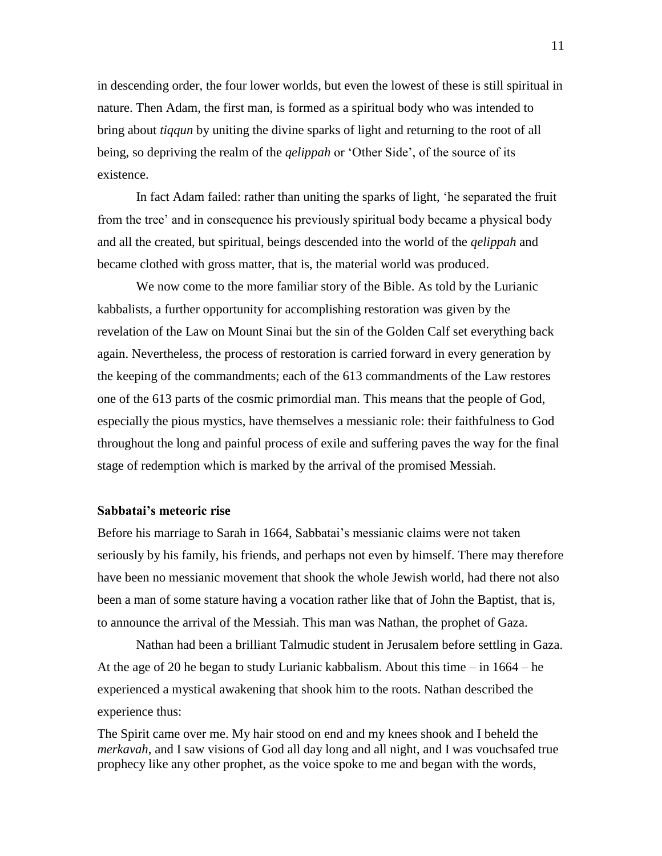in descending order, the four lower worlds, but even the lowest of these is still spiritual in nature. Then Adam, the first man, is formed as a spiritual body who was intended to bring about *tiqqun* by uniting the divine sparks of light and returning to the root of all being, so depriving the realm of the *qelippah* or 'Other Side', of the source of its existence.

In fact Adam failed: rather than uniting the sparks of light, 'he separated the fruit from the tree' and in consequence his previously spiritual body became a physical body and all the created, but spiritual, beings descended into the world of the *qelippah* and became clothed with gross matter, that is, the material world was produced.

We now come to the more familiar story of the Bible. As told by the Lurianic kabbalists, a further opportunity for accomplishing restoration was given by the revelation of the Law on Mount Sinai but the sin of the Golden Calf set everything back again. Nevertheless, the process of restoration is carried forward in every generation by the keeping of the commandments; each of the 613 commandments of the Law restores one of the 613 parts of the cosmic primordial man. This means that the people of God, especially the pious mystics, have themselves a messianic role: their faithfulness to God throughout the long and painful process of exile and suffering paves the way for the final stage of redemption which is marked by the arrival of the promised Messiah.

#### **Sabbatai's meteoric rise**

Before his marriage to Sarah in 1664, Sabbatai's messianic claims were not taken seriously by his family, his friends, and perhaps not even by himself. There may therefore have been no messianic movement that shook the whole Jewish world, had there not also been a man of some stature having a vocation rather like that of John the Baptist, that is, to announce the arrival of the Messiah. This man was Nathan, the prophet of Gaza.

Nathan had been a brilliant Talmudic student in Jerusalem before settling in Gaza. At the age of 20 he began to study Lurianic kabbalism. About this time – in 1664 – he experienced a mystical awakening that shook him to the roots. Nathan described the experience thus:

The Spirit came over me. My hair stood on end and my knees shook and I beheld the *merkavah*, and I saw visions of God all day long and all night, and I was vouchsafed true prophecy like any other prophet, as the voice spoke to me and began with the words,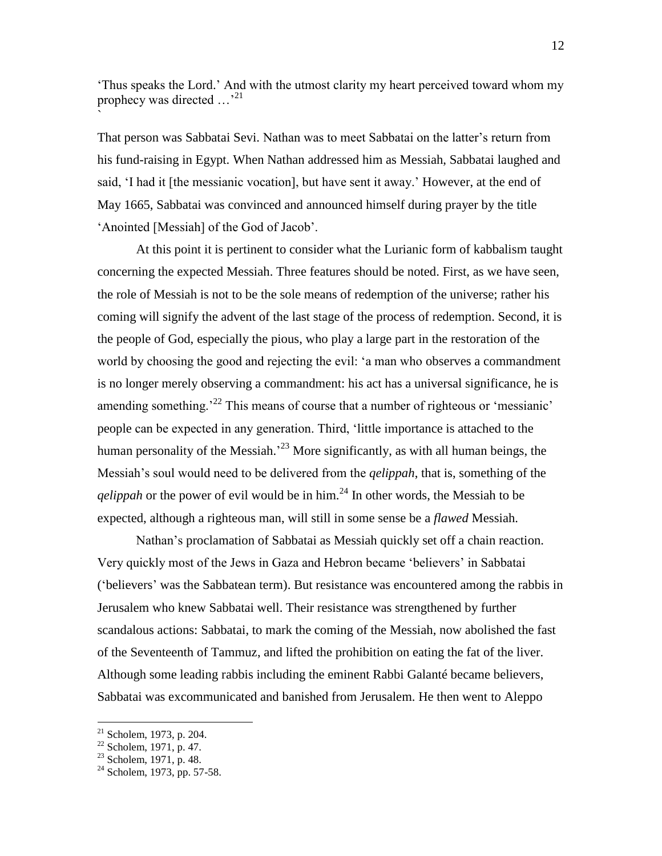'Thus speaks the Lord.' And with the utmost clarity my heart perceived toward whom my prophecy was directed ...<sup>21</sup>

That person was Sabbatai Sevi. Nathan was to meet Sabbatai on the latter's return from his fund-raising in Egypt. When Nathan addressed him as Messiah, Sabbatai laughed and said, 'I had it [the messianic vocation], but have sent it away.' However, at the end of May 1665, Sabbatai was convinced and announced himself during prayer by the title 'Anointed [Messiah] of the God of Jacob'.

At this point it is pertinent to consider what the Lurianic form of kabbalism taught concerning the expected Messiah. Three features should be noted. First, as we have seen, the role of Messiah is not to be the sole means of redemption of the universe; rather his coming will signify the advent of the last stage of the process of redemption. Second, it is the people of God, especially the pious, who play a large part in the restoration of the world by choosing the good and rejecting the evil: 'a man who observes a commandment is no longer merely observing a commandment: his act has a universal significance, he is amending something.<sup>22</sup> This means of course that a number of righteous or 'messianic' people can be expected in any generation. Third, 'little importance is attached to the human personality of the Messiah.<sup>23</sup> More significantly, as with all human beings, the Messiah's soul would need to be delivered from the *qelippah*, that is, something of the *qelippah* or the power of evil would be in him.<sup>24</sup> In other words, the Messiah to be expected, although a righteous man, will still in some sense be a *flawed* Messiah.

Nathan's proclamation of Sabbatai as Messiah quickly set off a chain reaction. Very quickly most of the Jews in Gaza and Hebron became 'believers' in Sabbatai ('believers' was the Sabbatean term). But resistance was encountered among the rabbis in Jerusalem who knew Sabbatai well. Their resistance was strengthened by further scandalous actions: Sabbatai, to mark the coming of the Messiah, now abolished the fast of the Seventeenth of Tammuz, and lifted the prohibition on eating the fat of the liver. Although some leading rabbis including the eminent Rabbi Galanté became believers, Sabbatai was excommunicated and banished from Jerusalem. He then went to Aleppo

 $\overline{a}$ 

`

 $21$  Scholem, 1973, p. 204.

 $22$  Scholem, 1971, p. 47.

 $23$  Scholem, 1971, p. 48.

 $24$  Scholem, 1973, pp. 57-58.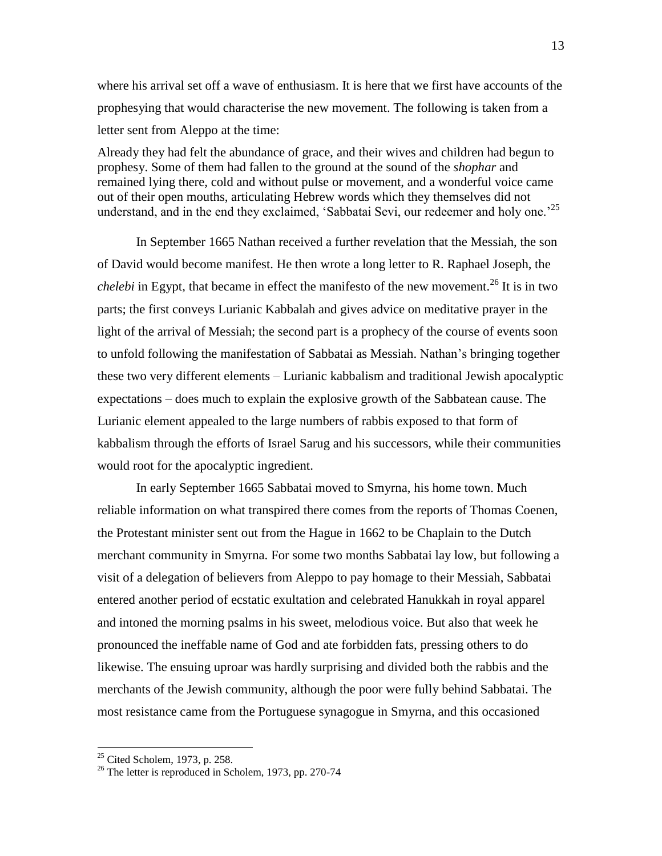where his arrival set off a wave of enthusiasm. It is here that we first have accounts of the prophesying that would characterise the new movement. The following is taken from a letter sent from Aleppo at the time:

Already they had felt the abundance of grace, and their wives and children had begun to prophesy. Some of them had fallen to the ground at the sound of the *shophar* and remained lying there, cold and without pulse or movement, and a wonderful voice came out of their open mouths, articulating Hebrew words which they themselves did not understand, and in the end they exclaimed, 'Sabbatai Sevi, our redeemer and holy one.'<sup>25</sup>

In September 1665 Nathan received a further revelation that the Messiah, the son of David would become manifest. He then wrote a long letter to R. Raphael Joseph, the *chelebi* in Egypt, that became in effect the manifesto of the new movement.<sup>26</sup> It is in two parts; the first conveys Lurianic Kabbalah and gives advice on meditative prayer in the light of the arrival of Messiah; the second part is a prophecy of the course of events soon to unfold following the manifestation of Sabbatai as Messiah. Nathan's bringing together these two very different elements – Lurianic kabbalism and traditional Jewish apocalyptic expectations – does much to explain the explosive growth of the Sabbatean cause. The Lurianic element appealed to the large numbers of rabbis exposed to that form of kabbalism through the efforts of Israel Sarug and his successors, while their communities would root for the apocalyptic ingredient.

In early September 1665 Sabbatai moved to Smyrna, his home town. Much reliable information on what transpired there comes from the reports of Thomas Coenen, the Protestant minister sent out from the Hague in 1662 to be Chaplain to the Dutch merchant community in Smyrna. For some two months Sabbatai lay low, but following a visit of a delegation of believers from Aleppo to pay homage to their Messiah, Sabbatai entered another period of ecstatic exultation and celebrated Hanukkah in royal apparel and intoned the morning psalms in his sweet, melodious voice. But also that week he pronounced the ineffable name of God and ate forbidden fats, pressing others to do likewise. The ensuing uproar was hardly surprising and divided both the rabbis and the merchants of the Jewish community, although the poor were fully behind Sabbatai. The most resistance came from the Portuguese synagogue in Smyrna, and this occasioned

 $25$  Cited Scholem, 1973, p. 258.

<sup>&</sup>lt;sup>26</sup> The letter is reproduced in Scholem, 1973, pp. 270-74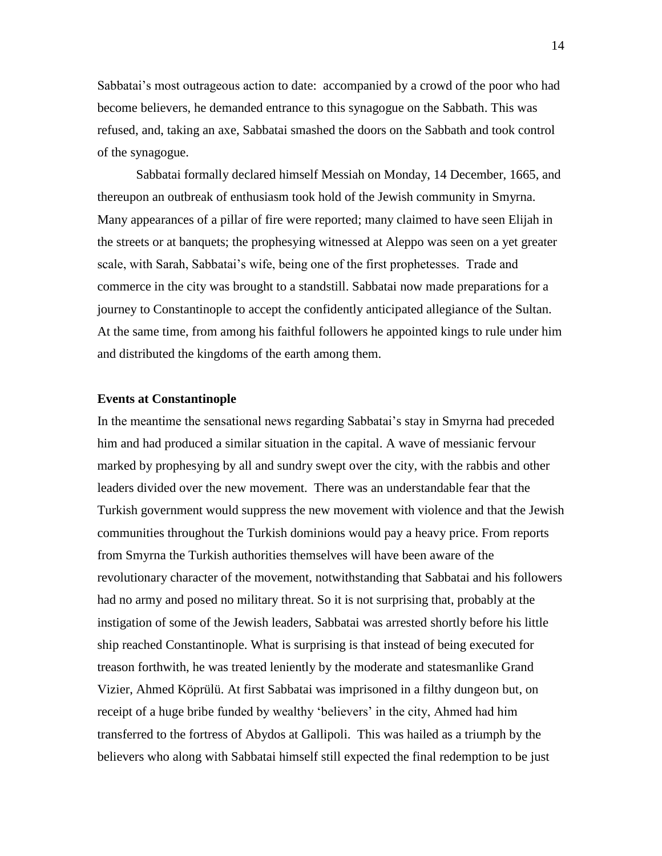Sabbatai's most outrageous action to date: accompanied by a crowd of the poor who had become believers, he demanded entrance to this synagogue on the Sabbath. This was refused, and, taking an axe, Sabbatai smashed the doors on the Sabbath and took control of the synagogue.

Sabbatai formally declared himself Messiah on Monday, 14 December, 1665, and thereupon an outbreak of enthusiasm took hold of the Jewish community in Smyrna. Many appearances of a pillar of fire were reported; many claimed to have seen Elijah in the streets or at banquets; the prophesying witnessed at Aleppo was seen on a yet greater scale, with Sarah, Sabbatai's wife, being one of the first prophetesses. Trade and commerce in the city was brought to a standstill. Sabbatai now made preparations for a journey to Constantinople to accept the confidently anticipated allegiance of the Sultan. At the same time, from among his faithful followers he appointed kings to rule under him and distributed the kingdoms of the earth among them.

#### **Events at Constantinople**

In the meantime the sensational news regarding Sabbatai's stay in Smyrna had preceded him and had produced a similar situation in the capital. A wave of messianic fervour marked by prophesying by all and sundry swept over the city, with the rabbis and other leaders divided over the new movement. There was an understandable fear that the Turkish government would suppress the new movement with violence and that the Jewish communities throughout the Turkish dominions would pay a heavy price. From reports from Smyrna the Turkish authorities themselves will have been aware of the revolutionary character of the movement, notwithstanding that Sabbatai and his followers had no army and posed no military threat. So it is not surprising that, probably at the instigation of some of the Jewish leaders, Sabbatai was arrested shortly before his little ship reached Constantinople. What is surprising is that instead of being executed for treason forthwith, he was treated leniently by the moderate and statesmanlike Grand Vizier, Ahmed Köprülü. At first Sabbatai was imprisoned in a filthy dungeon but, on receipt of a huge bribe funded by wealthy 'believers' in the city, Ahmed had him transferred to the fortress of Abydos at Gallipoli. This was hailed as a triumph by the believers who along with Sabbatai himself still expected the final redemption to be just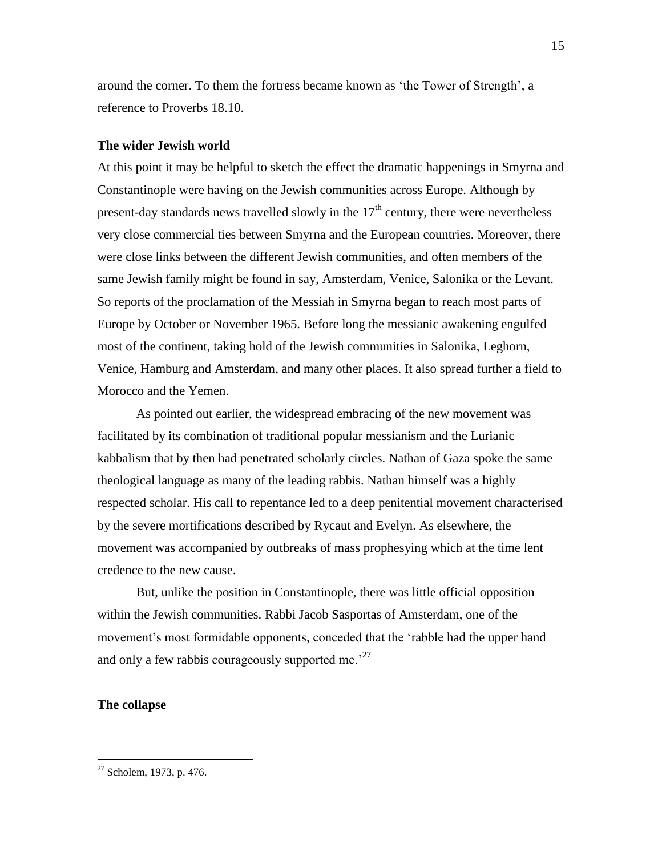around the corner. To them the fortress became known as 'the Tower of Strength', a reference to Proverbs 18.10.

#### **The wider Jewish world**

At this point it may be helpful to sketch the effect the dramatic happenings in Smyrna and Constantinople were having on the Jewish communities across Europe. Although by present-day standards news travelled slowly in the  $17<sup>th</sup>$  century, there were nevertheless very close commercial ties between Smyrna and the European countries. Moreover, there were close links between the different Jewish communities, and often members of the same Jewish family might be found in say, Amsterdam, Venice, Salonika or the Levant. So reports of the proclamation of the Messiah in Smyrna began to reach most parts of Europe by October or November 1965. Before long the messianic awakening engulfed most of the continent, taking hold of the Jewish communities in Salonika, Leghorn, Venice, Hamburg and Amsterdam, and many other places. It also spread further a field to Morocco and the Yemen.

As pointed out earlier, the widespread embracing of the new movement was facilitated by its combination of traditional popular messianism and the Lurianic kabbalism that by then had penetrated scholarly circles. Nathan of Gaza spoke the same theological language as many of the leading rabbis. Nathan himself was a highly respected scholar. His call to repentance led to a deep penitential movement characterised by the severe mortifications described by Rycaut and Evelyn. As elsewhere, the movement was accompanied by outbreaks of mass prophesying which at the time lent credence to the new cause.

But, unlike the position in Constantinople, there was little official opposition within the Jewish communities. Rabbi Jacob Sasportas of Amsterdam, one of the movement's most formidable opponents, conceded that the 'rabble had the upper hand and only a few rabbis courageously supported me.<sup>27</sup>

#### **The collapse**

 $27$  Scholem, 1973, p. 476.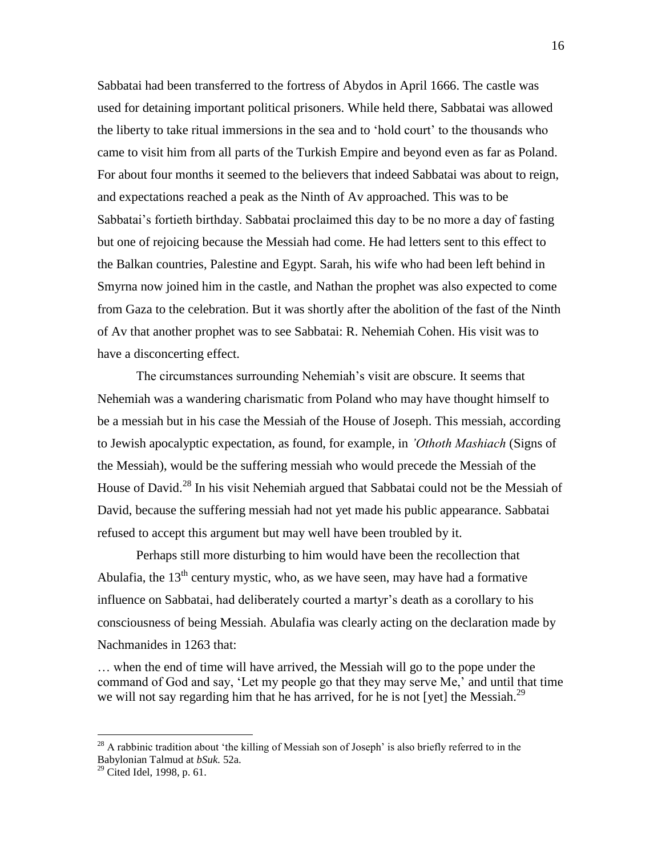Sabbatai had been transferred to the fortress of Abydos in April 1666. The castle was used for detaining important political prisoners. While held there, Sabbatai was allowed the liberty to take ritual immersions in the sea and to 'hold court' to the thousands who came to visit him from all parts of the Turkish Empire and beyond even as far as Poland. For about four months it seemed to the believers that indeed Sabbatai was about to reign, and expectations reached a peak as the Ninth of Av approached. This was to be Sabbatai's fortieth birthday. Sabbatai proclaimed this day to be no more a day of fasting but one of rejoicing because the Messiah had come. He had letters sent to this effect to the Balkan countries, Palestine and Egypt. Sarah, his wife who had been left behind in Smyrna now joined him in the castle, and Nathan the prophet was also expected to come from Gaza to the celebration. But it was shortly after the abolition of the fast of the Ninth of Av that another prophet was to see Sabbatai: R. Nehemiah Cohen. His visit was to have a disconcerting effect.

The circumstances surrounding Nehemiah's visit are obscure. It seems that Nehemiah was a wandering charismatic from Poland who may have thought himself to be a messiah but in his case the Messiah of the House of Joseph. This messiah, according to Jewish apocalyptic expectation, as found, for example, in *'Othoth Mashiach* (Signs of the Messiah), would be the suffering messiah who would precede the Messiah of the House of David.<sup>28</sup> In his visit Nehemiah argued that Sabbatai could not be the Messiah of David, because the suffering messiah had not yet made his public appearance. Sabbatai refused to accept this argument but may well have been troubled by it.

Perhaps still more disturbing to him would have been the recollection that Abulafia, the  $13<sup>th</sup>$  century mystic, who, as we have seen, may have had a formative influence on Sabbatai, had deliberately courted a martyr's death as a corollary to his consciousness of being Messiah. Abulafia was clearly acting on the declaration made by Nachmanides in 1263 that:

… when the end of time will have arrived, the Messiah will go to the pope under the command of God and say, 'Let my people go that they may serve Me,' and until that time we will not say regarding him that he has arrived, for he is not [yet] the Messiah.<sup>29</sup>

<sup>&</sup>lt;sup>28</sup> A rabbinic tradition about 'the killing of Messiah son of Joseph' is also briefly referred to in the Babylonian Talmud at *bSuk.* 52a.

 $29$  Cited Idel, 1998, p. 61.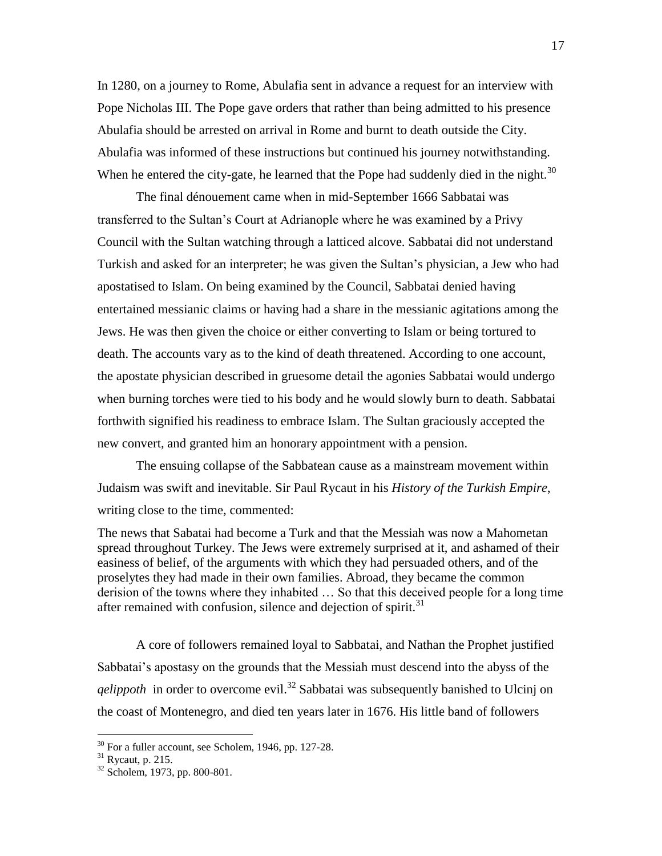In 1280, on a journey to Rome, Abulafia sent in advance a request for an interview with Pope Nicholas III. The Pope gave orders that rather than being admitted to his presence Abulafia should be arrested on arrival in Rome and burnt to death outside the City. Abulafia was informed of these instructions but continued his journey notwithstanding. When he entered the city-gate, he learned that the Pope had suddenly died in the night.<sup>30</sup>

The final dénouement came when in mid-September 1666 Sabbatai was transferred to the Sultan's Court at Adrianople where he was examined by a Privy Council with the Sultan watching through a latticed alcove. Sabbatai did not understand Turkish and asked for an interpreter; he was given the Sultan's physician, a Jew who had apostatised to Islam. On being examined by the Council, Sabbatai denied having entertained messianic claims or having had a share in the messianic agitations among the Jews. He was then given the choice or either converting to Islam or being tortured to death. The accounts vary as to the kind of death threatened. According to one account, the apostate physician described in gruesome detail the agonies Sabbatai would undergo when burning torches were tied to his body and he would slowly burn to death. Sabbatai forthwith signified his readiness to embrace Islam. The Sultan graciously accepted the new convert, and granted him an honorary appointment with a pension.

The ensuing collapse of the Sabbatean cause as a mainstream movement within Judaism was swift and inevitable. Sir Paul Rycaut in his *History of the Turkish Empire*, writing close to the time, commented:

The news that Sabatai had become a Turk and that the Messiah was now a Mahometan spread throughout Turkey. The Jews were extremely surprised at it, and ashamed of their easiness of belief, of the arguments with which they had persuaded others, and of the proselytes they had made in their own families. Abroad, they became the common derision of the towns where they inhabited … So that this deceived people for a long time after remained with confusion, silence and dejection of spirit.<sup>31</sup>

A core of followers remained loyal to Sabbatai, and Nathan the Prophet justified Sabbatai's apostasy on the grounds that the Messiah must descend into the abyss of the *qelippoth* in order to overcome evil. <sup>32</sup> Sabbatai was subsequently banished to Ulcinj on the coast of Montenegro, and died ten years later in 1676. His little band of followers

 $30$  For a fuller account, see Scholem, 1946, pp. 127-28.

 $31$  Rycaut, p. 215.

<sup>32</sup> Scholem, 1973, pp. 800-801.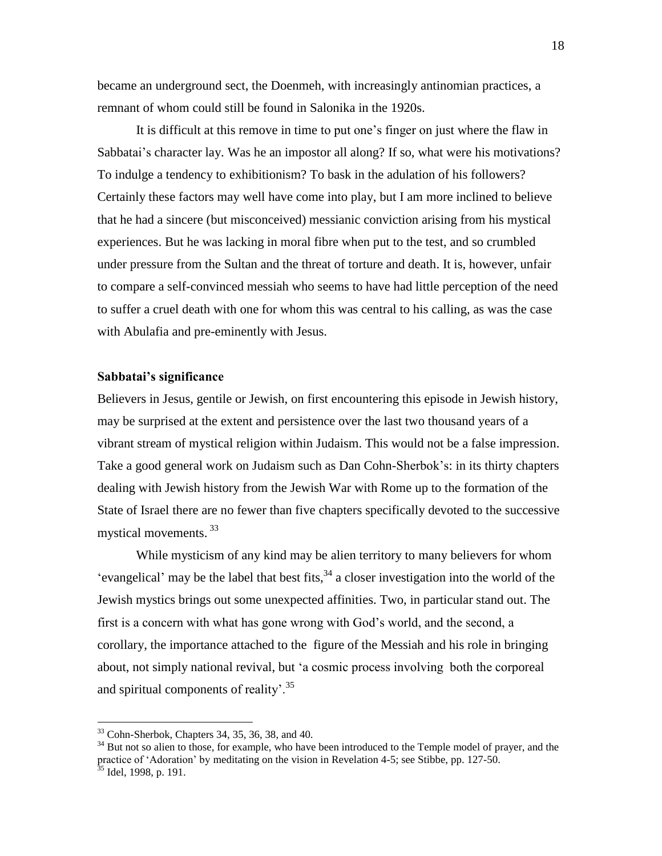became an underground sect, the Doenmeh, with increasingly antinomian practices, a remnant of whom could still be found in Salonika in the 1920s.

It is difficult at this remove in time to put one's finger on just where the flaw in Sabbatai's character lay. Was he an impostor all along? If so, what were his motivations? To indulge a tendency to exhibitionism? To bask in the adulation of his followers? Certainly these factors may well have come into play, but I am more inclined to believe that he had a sincere (but misconceived) messianic conviction arising from his mystical experiences. But he was lacking in moral fibre when put to the test, and so crumbled under pressure from the Sultan and the threat of torture and death. It is, however, unfair to compare a self-convinced messiah who seems to have had little perception of the need to suffer a cruel death with one for whom this was central to his calling, as was the case with Abulafia and pre-eminently with Jesus.

#### **Sabbatai's significance**

Believers in Jesus, gentile or Jewish, on first encountering this episode in Jewish history, may be surprised at the extent and persistence over the last two thousand years of a vibrant stream of mystical religion within Judaism. This would not be a false impression. Take a good general work on Judaism such as Dan Cohn-Sherbok's: in its thirty chapters dealing with Jewish history from the Jewish War with Rome up to the formation of the State of Israel there are no fewer than five chapters specifically devoted to the successive mystical movements. 33

While mysticism of any kind may be alien territory to many believers for whom 'evangelical' may be the label that best fits,  $34$  a closer investigation into the world of the Jewish mystics brings out some unexpected affinities. Two, in particular stand out. The first is a concern with what has gone wrong with God's world, and the second, a corollary, the importance attached to the figure of the Messiah and his role in bringing about, not simply national revival, but 'a cosmic process involving both the corporeal and spiritual components of reality'.<sup>35</sup>

 $33$  Cohn-Sherbok, Chapters 34, 35, 36, 38, and 40.

<sup>&</sup>lt;sup>34</sup> But not so alien to those, for example, who have been introduced to the Temple model of prayer, and the practice of 'Adoration' by meditating on the vision in Revelation 4-5; see Stibbe, pp. 127-50.

<sup>&</sup>lt;sup>35</sup> Idel, 1998, p. 191.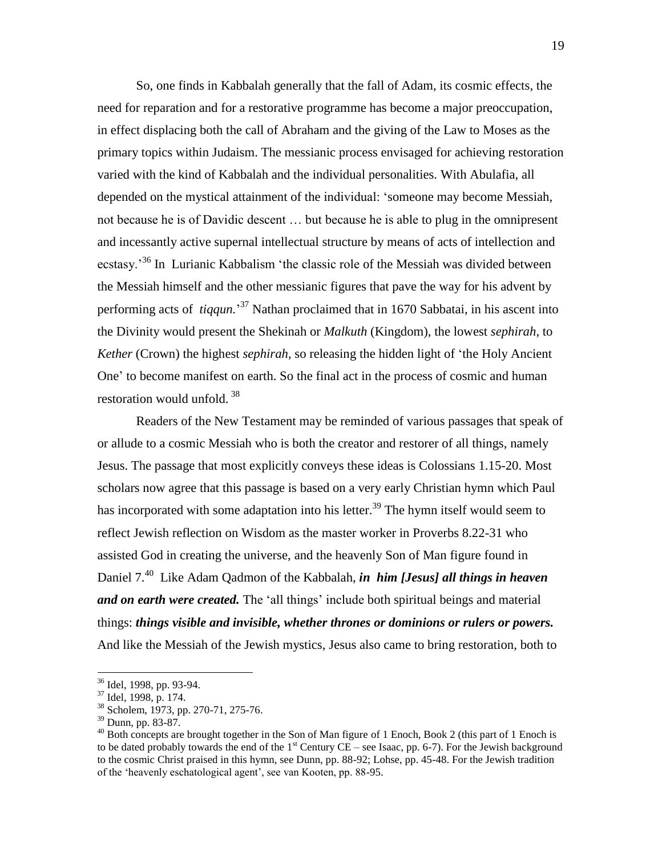So, one finds in Kabbalah generally that the fall of Adam, its cosmic effects, the need for reparation and for a restorative programme has become a major preoccupation, in effect displacing both the call of Abraham and the giving of the Law to Moses as the primary topics within Judaism. The messianic process envisaged for achieving restoration varied with the kind of Kabbalah and the individual personalities. With Abulafia, all depended on the mystical attainment of the individual: 'someone may become Messiah, not because he is of Davidic descent … but because he is able to plug in the omnipresent and incessantly active supernal intellectual structure by means of acts of intellection and ecstasy.<sup>36</sup> In Lurianic Kabbalism 'the classic role of the Messiah was divided between the Messiah himself and the other messianic figures that pave the way for his advent by performing acts of *tiqqun.*' <sup>37</sup> Nathan proclaimed that in 1670 Sabbatai, in his ascent into the Divinity would present the Shekinah or *Malkuth* (Kingdom), the lowest *sephirah*, to *Kether* (Crown) the highest *sephirah*, so releasing the hidden light of 'the Holy Ancient One' to become manifest on earth. So the final act in the process of cosmic and human restoration would unfold.<sup>38</sup>

Readers of the New Testament may be reminded of various passages that speak of or allude to a cosmic Messiah who is both the creator and restorer of all things, namely Jesus. The passage that most explicitly conveys these ideas is Colossians 1.15-20. Most scholars now agree that this passage is based on a very early Christian hymn which Paul has incorporated with some adaptation into his letter.<sup>39</sup> The hymn itself would seem to reflect Jewish reflection on Wisdom as the master worker in Proverbs 8.22-31 who assisted God in creating the universe, and the heavenly Son of Man figure found in Daniel 7. <sup>40</sup> Like Adam Qadmon of the Kabbalah, *in him [Jesus] all things in heaven and on earth were created.* The 'all things' include both spiritual beings and material things: *things visible and invisible, whether thrones or dominions or rulers or powers.* And like the Messiah of the Jewish mystics, Jesus also came to bring restoration, both to

<sup>36</sup> Idel, 1998, pp. 93-94.

<sup>37</sup> Idel, 1998, p. 174.

<sup>38</sup> Scholem, 1973, pp. 270-71, 275-76.

<sup>39</sup> Dunn, pp. 83-87.

 $^{40}$  Both concepts are brought together in the Son of Man figure of 1 Enoch, Book 2 (this part of 1 Enoch is to be dated probably towards the end of the  $1<sup>st</sup>$  Century CE – see Isaac, pp. 6-7). For the Jewish background to the cosmic Christ praised in this hymn, see Dunn, pp. 88-92; Lohse, pp. 45-48. For the Jewish tradition of the 'heavenly eschatological agent', see van Kooten, pp. 88-95.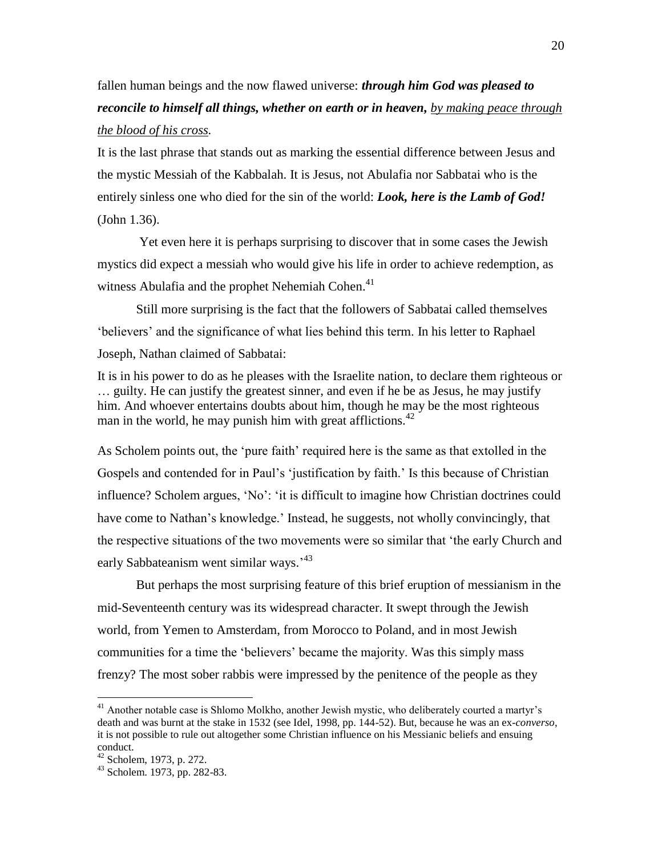## fallen human beings and the now flawed universe: *through him God was pleased to reconcile to himself all things, whether on earth or in heaven, by making peace through the blood of his cross.*

It is the last phrase that stands out as marking the essential difference between Jesus and the mystic Messiah of the Kabbalah. It is Jesus, not Abulafia nor Sabbatai who is the entirely sinless one who died for the sin of the world: *Look, here is the Lamb of God!* (John 1.36).

Yet even here it is perhaps surprising to discover that in some cases the Jewish mystics did expect a messiah who would give his life in order to achieve redemption, as witness Abulafia and the prophet Nehemiah Cohen.<sup>41</sup>

Still more surprising is the fact that the followers of Sabbatai called themselves 'believers' and the significance of what lies behind this term. In his letter to Raphael Joseph, Nathan claimed of Sabbatai:

It is in his power to do as he pleases with the Israelite nation, to declare them righteous or … guilty. He can justify the greatest sinner, and even if he be as Jesus, he may justify him. And whoever entertains doubts about him, though he may be the most righteous man in the world, he may punish him with great afflictions.<sup>42</sup>

As Scholem points out, the 'pure faith' required here is the same as that extolled in the Gospels and contended for in Paul's 'justification by faith.' Is this because of Christian influence? Scholem argues, 'No': 'it is difficult to imagine how Christian doctrines could have come to Nathan's knowledge.' Instead, he suggests, not wholly convincingly, that the respective situations of the two movements were so similar that 'the early Church and early Sabbateanism went similar ways.<sup>43</sup>

But perhaps the most surprising feature of this brief eruption of messianism in the mid-Seventeenth century was its widespread character. It swept through the Jewish world, from Yemen to Amsterdam, from Morocco to Poland, and in most Jewish communities for a time the 'believers' became the majority. Was this simply mass frenzy? The most sober rabbis were impressed by the penitence of the people as they

<sup>&</sup>lt;sup>41</sup> Another notable case is Shlomo Molkho, another Jewish mystic, who deliberately courted a martyr's death and was burnt at the stake in 1532 (see Idel, 1998, pp. 144-52). But, because he was an ex-*converso*, it is not possible to rule out altogether some Christian influence on his Messianic beliefs and ensuing conduct.

 $42$  Scholem, 1973, p. 272.

<sup>43</sup> Scholem. 1973, pp. 282-83.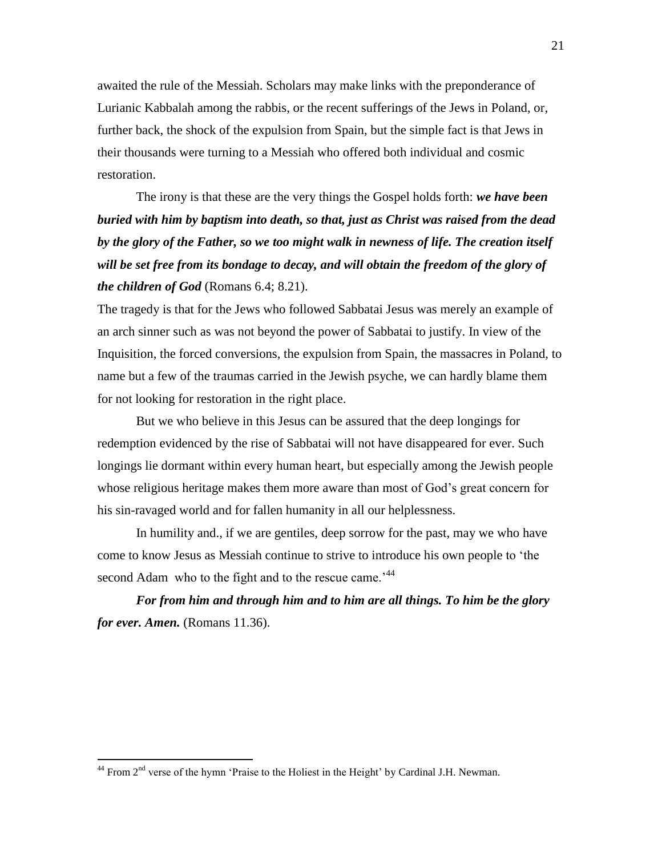awaited the rule of the Messiah. Scholars may make links with the preponderance of Lurianic Kabbalah among the rabbis, or the recent sufferings of the Jews in Poland, or, further back, the shock of the expulsion from Spain, but the simple fact is that Jews in their thousands were turning to a Messiah who offered both individual and cosmic restoration.

The irony is that these are the very things the Gospel holds forth: *we have been buried with him by baptism into death, so that, just as Christ was raised from the dead by the glory of the Father, so we too might walk in newness of life. The creation itself will be set free from its bondage to decay, and will obtain the freedom of the glory of the children of God* (Romans 6.4; 8.21).

The tragedy is that for the Jews who followed Sabbatai Jesus was merely an example of an arch sinner such as was not beyond the power of Sabbatai to justify. In view of the Inquisition, the forced conversions, the expulsion from Spain, the massacres in Poland, to name but a few of the traumas carried in the Jewish psyche, we can hardly blame them for not looking for restoration in the right place.

But we who believe in this Jesus can be assured that the deep longings for redemption evidenced by the rise of Sabbatai will not have disappeared for ever. Such longings lie dormant within every human heart, but especially among the Jewish people whose religious heritage makes them more aware than most of God's great concern for his sin-ravaged world and for fallen humanity in all our helplessness.

In humility and., if we are gentiles, deep sorrow for the past, may we who have come to know Jesus as Messiah continue to strive to introduce his own people to 'the second Adam who to the fight and to the rescue came.<sup>'44</sup>

*For from him and through him and to him are all things. To him be the glory for ever. Amen.* (Romans 11.36).

 $44$  From  $2<sup>nd</sup>$  verse of the hymn 'Praise to the Holiest in the Height' by Cardinal J.H. Newman.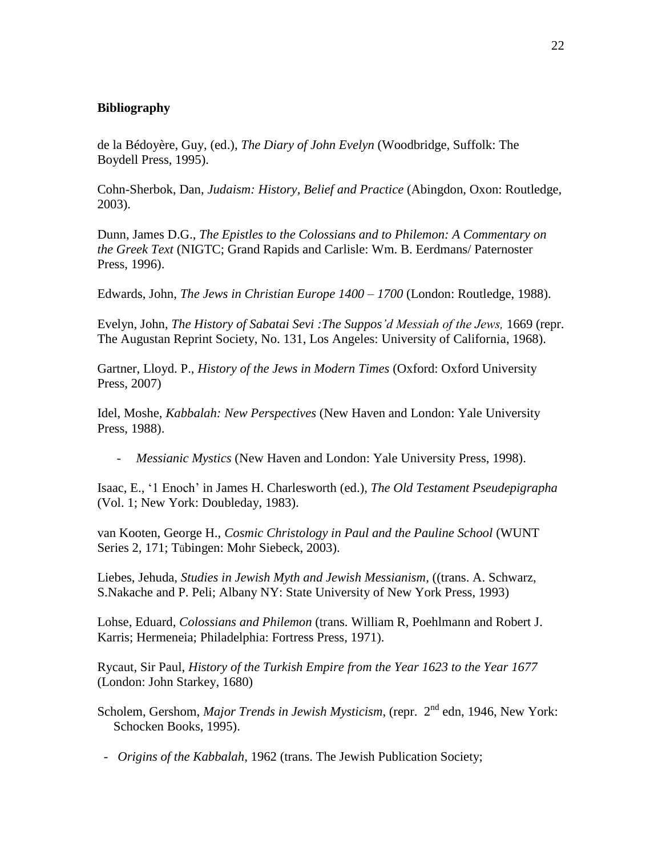## **Bibliography**

de la Bédoyère, Guy, (ed.), *The Diary of John Evelyn* (Woodbridge, Suffolk: The Boydell Press, 1995).

Cohn-Sherbok, Dan, *Judaism: History, Belief and Practice* (Abingdon, Oxon: Routledge, 2003).

Dunn, James D.G., *The Epistles to the Colossians and to Philemon: A Commentary on the Greek Text* (NIGTC; Grand Rapids and Carlisle: Wm. B. Eerdmans/ Paternoster Press, 1996).

Edwards, John, *The Jews in Christian Europe 1400 – 1700* (London: Routledge, 1988).

Evelyn, John, *The History of Sabatai Sevi :The Suppos'd Messiah of the Jews,* 1669 (repr. The Augustan Reprint Society, No. 131, Los Angeles: University of California, 1968).

Gartner, Lloyd. P., *History of the Jews in Modern Times* (Oxford: Oxford University Press, 2007)

Idel, Moshe, *Kabbalah: New Perspectives* (New Haven and London: Yale University Press, 1988).

*- Messianic Mystics* (New Haven and London: Yale University Press, 1998).

Isaac, E., '1 Enoch' in James H. Charlesworth (ed.), *The Old Testament Pseudepigrapha*  (Vol. 1; New York: Doubleday, 1983).

van Kooten, George H., *Cosmic Christology in Paul and the Pauline School* (WUNT Series 2, 171; Tübingen: Mohr Siebeck, 2003).

Liebes, Jehuda, *Studies in Jewish Myth and Jewish Messianism*, ((trans. A. Schwarz, S.Nakache and P. Peli; Albany NY: State University of New York Press, 1993)

Lohse, Eduard, *Colossians and Philemon* (trans. William R, Poehlmann and Robert J. Karris; Hermeneia; Philadelphia: Fortress Press, 1971).

Rycaut, Sir Paul, *History of the Turkish Empire from the Year 1623 to the Year 1677* (London: John Starkey, 1680)

Scholem, Gershom, *Major Trends in Jewish Mysticism*, (repr. 2<sup>nd</sup> edn, 1946, New York: Schocken Books, 1995).

 *- Origins of the Kabbalah*, 1962 (trans. The Jewish Publication Society;